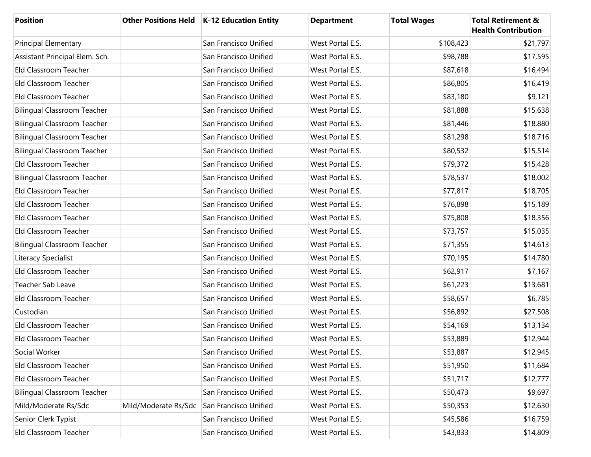| <b>Position</b>                    |                      | Other Positions Held   K-12 Education Entity | <b>Department</b> | <b>Total Wages</b> | <b>Total Retirement &amp;</b><br><b>Health Contribution</b> |
|------------------------------------|----------------------|----------------------------------------------|-------------------|--------------------|-------------------------------------------------------------|
| <b>Principal Elementary</b>        |                      | San Francisco Unified                        | West Portal E.S.  | \$108,423          | \$21,797                                                    |
| Assistant Principal Elem. Sch.     |                      | San Francisco Unified                        | West Portal E.S.  | \$98,788           | \$17,595                                                    |
| Eld Classroom Teacher              |                      | San Francisco Unified                        | West Portal E.S.  | \$87,618           | \$16,494                                                    |
| Eld Classroom Teacher              |                      | San Francisco Unified                        | West Portal E.S.  | \$86,805           | \$16,419                                                    |
| Eld Classroom Teacher              |                      | San Francisco Unified                        | West Portal E.S.  | \$83,180           | \$9,121                                                     |
| <b>Bilingual Classroom Teacher</b> |                      | San Francisco Unified                        | West Portal E.S.  | \$81,888           | \$15,638                                                    |
| <b>Bilingual Classroom Teacher</b> |                      | San Francisco Unified                        | West Portal E.S.  | \$81,446           | \$18,880                                                    |
| <b>Bilingual Classroom Teacher</b> |                      | San Francisco Unified                        | West Portal E.S.  | \$81,298           | \$18,716                                                    |
| <b>Bilingual Classroom Teacher</b> |                      | San Francisco Unified                        | West Portal E.S.  | \$80,532           | \$15,514                                                    |
| Eld Classroom Teacher              |                      | San Francisco Unified                        | West Portal E.S.  | \$79,372           | \$15,428                                                    |
| <b>Bilingual Classroom Teacher</b> |                      | San Francisco Unified                        | West Portal E.S.  | \$78,537           | \$18,002                                                    |
| Eld Classroom Teacher              |                      | San Francisco Unified                        | West Portal E.S.  | \$77,817           | \$18,705                                                    |
| Eld Classroom Teacher              |                      | San Francisco Unified                        | West Portal E.S.  | \$76,898           | \$15,189                                                    |
| Eld Classroom Teacher              |                      | San Francisco Unified                        | West Portal E.S.  | \$75,808           | \$18,356                                                    |
| Eld Classroom Teacher              |                      | San Francisco Unified                        | West Portal E.S.  | \$73,757           | \$15,035                                                    |
| <b>Bilingual Classroom Teacher</b> |                      | San Francisco Unified                        | West Portal E.S.  | \$71,355           | \$14,613                                                    |
| Literacy Specialist                |                      | San Francisco Unified                        | West Portal E.S.  | \$70,195           | \$14,780                                                    |
| Eld Classroom Teacher              |                      | San Francisco Unified                        | West Portal E.S.  | \$62,917           | \$7,167                                                     |
| Teacher Sab Leave                  |                      | San Francisco Unified                        | West Portal E.S.  | \$61,223           | \$13,681                                                    |
| Eld Classroom Teacher              |                      | San Francisco Unified                        | West Portal E.S.  | \$58,657           | \$6,785                                                     |
| Custodian                          |                      | San Francisco Unified                        | West Portal E.S.  | \$56,892           | \$27,508                                                    |
| Eld Classroom Teacher              |                      | San Francisco Unified                        | West Portal E.S.  | \$54,169           | \$13,134                                                    |
| Eld Classroom Teacher              |                      | San Francisco Unified                        | West Portal E.S.  | \$53,889           | \$12,944                                                    |
| Social Worker                      |                      | San Francisco Unified                        | West Portal E.S.  | \$53,887           | \$12,945                                                    |
| Eld Classroom Teacher              |                      | San Francisco Unified                        | West Portal E.S.  | \$51,950           | \$11,684                                                    |
| Eld Classroom Teacher              |                      | San Francisco Unified                        | West Portal E.S.  | \$51,717           | \$12,777                                                    |
| <b>Bilingual Classroom Teacher</b> |                      | San Francisco Unified                        | West Portal E.S.  | \$50,473           | \$9,697                                                     |
| Mild/Moderate Rs/Sdc               | Mild/Moderate Rs/Sdc | San Francisco Unified                        | West Portal E.S.  | \$50,353           | \$12,630                                                    |
| Senior Clerk Typist                |                      | San Francisco Unified                        | West Portal E.S.  | \$45,586           | \$16,759                                                    |
| Eld Classroom Teacher              |                      | San Francisco Unified                        | West Portal E.S.  | \$43,833           | \$14,809                                                    |